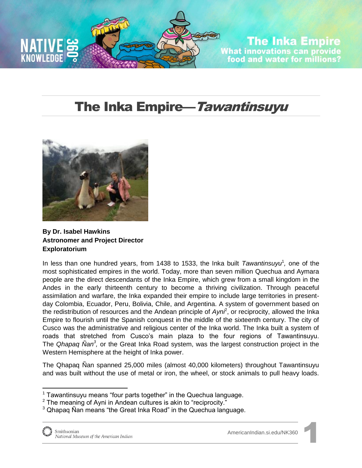

## **The Inka Empire** What innovations can provide<br>food and water for millions?

## The Inka Empire—Tawantinsuyu



**By Dr. Isabel Hawkins Astronomer and Project Director Exploratorium** 

In less than one hundred years, from 1438 to 1533, the Inka built *Tawantinsuyu<sup>1</sup>*, one of the most sophisticated empires in the world. Today, more than seven million Quechua and Aymara people are the direct descendants of the Inka Empire, which grew from a small kingdom in the Andes in the early thirteenth century to become a thriving civilization. Through peaceful assimilation and warfare, the Inka expanded their empire to include large territories in presentday Colombia, Ecuador, Peru, Bolivia, Chile, and Argentina. A system of government based on the redistribution of resources and the Andean principle of *Ayni*<sup>2</sup>, or reciprocity, allowed the Inka Empire to flourish until the Spanish conquest in the middle of the sixteenth century. The city of Cusco was the administrative and religious center of the Inka world. The Inka built a system of roads that stretched from Cusco's main plaza to the four regions of Tawantinsuyu. The *Qhapaq Ñan<sup>3</sup> ,* or the Great Inka Road system, was the largest construction project in the Western Hemisphere at the height of Inka power.

The Qhapaq Ñan spanned 25,000 miles (almost 40,000 kilometers) throughout Tawantinsuyu and was built without the use of metal or iron, the wheel, or stock animals to pull heavy loads.

 $1$  Tawantinsuyu means "four parts together" in the Quechua language.

<sup>&</sup>lt;sup>2</sup> The meaning of Ayni in Andean cultures is akin to "reciprocity."

<sup>&</sup>lt;sup>3</sup> Qhapaq Ñan means "the Great Inka Road" in the Quechua language.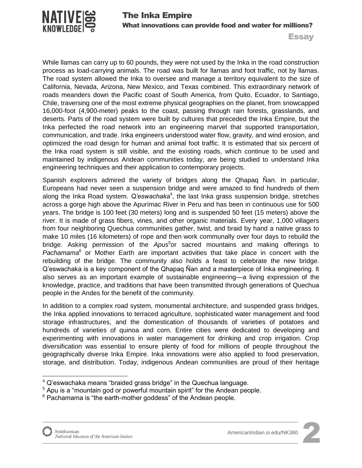

**Essay** 

While llamas can carry up to 60 pounds, they were not used by the Inka in the road construction process as load-carrying animals. The road was built for llamas and foot traffic, not by llamas. The road system allowed the Inka to oversee and manage a territory equivalent to the size of California, Nevada, Arizona, New Mexico, and Texas combined. This extraordinary network of roads meanders down the Pacific coast of South America, from Quito, Ecuador, to Santiago, Chile, traversing one of the most extreme physical geographies on the planet, from snowcapped 16,000-foot (4,900-meter) peaks to the coast, passing through rain forests, grasslands, and deserts. Parts of the road system were built by cultures that preceded the Inka Empire, but the Inka perfected the road network into an engineering marvel that supported transportation, communication, and trade. Inka engineers understood water flow, gravity, and wind erosion, and optimized the road design for human and animal foot traffic. It is estimated that six percent of the Inka road system is still visible, and the existing roads, which continue to be used and maintained by indigenous Andean communities today, are being studied to understand Inka engineering techniques and their application to contemporary projects.

Spanish explorers admired the variety of bridges along the Qhapaq Ñan. In particular, Europeans had never seen a suspension bridge and were amazed to find hundreds of them along the Inka Road system. Q'eswachaka<sup>4</sup>, the last Inka grass suspension bridge, stretches across a gorge high above the Apurímac River in Peru and has been in continuous use for 500 years. The bridge is 100 feet (30 meters) long and is suspended 50 feet (15 meters) above the river. It is made of grass fibers, vines, and other organic materials. Every year, 1,000 villagers from four neighboring Quechua communities gather, twist, and braid by hand a native grass to make 10 miles (16 kilometers) of rope and then work communally over four days to rebuild the bridge. Asking permission of the *Apus*<sup>5</sup>or sacred mountains and making offerings to Pachamama<sup>6</sup> or Mother Earth are important activities that take place in concert with the rebuilding of the bridge. The community also holds a feast to celebrate the new bridge. Q'eswachaka is a key component of the Qhapaq Ñan and a masterpiece of Inka engineering. It also serves as an important example of sustainable engineering—a living expression of the knowledge, practice, and traditions that have been transmitted through generations of Quechua people in the Andes for the benefit of the community.

In addition to a complex road system, monumental architecture, and suspended grass bridges, the Inka applied innovations to terraced agriculture, sophisticated water management and food storage infrastructures, and the domestication of thousands of varieties of potatoes and hundreds of varieties of quinoa and corn. Entire cities were dedicated to developing and experimenting with innovations in water management for drinking and crop irrigation. Crop diversification was essential to ensure plenty of food for millions of people throughout the geographically diverse Inka Empire. Inka innovations were also applied to food preservation, storage, and distribution. Today, indigenous Andean communities are proud of their heritage

 $\overline{a}$ 



 $4$  Q'eswachaka means "braided grass bridge" in the Quechua language.

<sup>&</sup>lt;sup>5</sup> Apu is a "mountain god or powerful mountain spirit" for the Andean people.

 $6$  Pachamama is "the earth-mother goddess" of the Andean people.